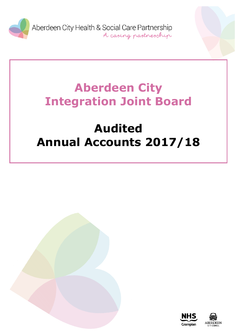

Aberdeen City Health & Social Care Partnership A caping partnership

# **Aberdeen City Integration Joint Board**

# **Audited Annual Accounts 2017/18**

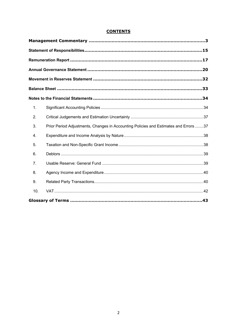| 1.  |                                                                                      |  |
|-----|--------------------------------------------------------------------------------------|--|
| 2.  |                                                                                      |  |
| 3.  | Prior Period Adjustments, Changes in Accounting Policies and Estimates and Errors 37 |  |
| 4.  |                                                                                      |  |
| 5.  |                                                                                      |  |
| 6.  |                                                                                      |  |
| 7.  |                                                                                      |  |
| 8.  |                                                                                      |  |
| 9.  |                                                                                      |  |
| 10. |                                                                                      |  |
|     |                                                                                      |  |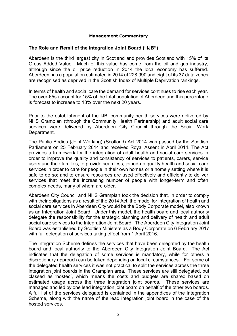#### <span id="page-2-0"></span>**Management Commentary**

#### **The Role and Remit of the Integration Joint Board ("IJB")**

Aberdeen is the third largest city in Scotland and provides Scotland with 15% of its Gross Added Value. Much of this value has come from the oil and gas industry, although since the oil price reduction in 2014 the local economy has suffered. Aberdeen has a population estimated in 2014 at 228,990 and eight of its 37 data zones are recognised as deprived in the Scottish Index of Multiple Deprivation rankings.

In terms of health and social care the demand for services continues to rise each year. The over-65s account for 15% of the total population of Aberdeen and this percentage is forecast to increase to 18% over the next 20 years.

Prior to the establishment of the IJB, community health services were delivered by NHS Grampian (through the Community Health Partnership) and adult social care services were delivered by Aberdeen City Council through the Social Work Department.

The Public Bodies (Joint Working) (Scotland) Act 2014 was passed by the Scottish Parliament on 25 February 2014 and received Royal Assent in April 2014. The Act provides a framework for the integration of adult health and social care services in order to improve the quality and consistency of services to patients, carers, service users and their families; to provide seamless, joined-up quality health and social care services in order to care for people in their own homes or a homely setting where it is safe to do so; and to ensure resources are used effectively and efficiently to deliver services that meet the increasing number of people with longer-term and often complex needs, many of whom are older.

Aberdeen City Council and NHS Grampian took the decision that, in order to comply with their obligations as a result of the 2014 Act, the model for integration of health and social care services in Aberdeen City would be the Body Corporate model, also known as an Integration Joint Board. Under this model, the health board and local authority delegate the responsibility for the strategic planning and delivery of health and adult social care services to the Integration Joint Board. The Aberdeen City Integration Joint Board was established by Scottish Ministers as a Body Corporate on 6 February 2017 with full delegation of services taking effect from 1 April 2016.

The Integration Scheme defines the services that have been delegated by the health board and local authority to the Aberdeen City Integration Joint Board. The Act indicates that the delegation of some services is mandatory, while for others a discretionary approach can be taken depending on local circumstances. For some of the delegated health services it was not practical to split the services across the three integration joint boards in the Grampian area. These services are still delegated, but classed as 'hosted', which means the costs and budgets are shared based on estimated usage across the three integration joint boards. These services are managed and led by one lead integration joint board on behalf of the other two boards. A full list of the services delegated is contained in the appendices of the Integration Scheme, along with the name of the lead integration joint board in the case of the hosted services.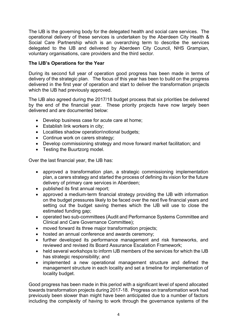The IJB is the governing body for the delegated health and social care services. The operational delivery of these services is undertaken by the Aberdeen City Health & Social Care Partnership which is an overarching term to describe the services delegated to the IJB and delivered by Aberdeen City Council, NHS Grampian, voluntary organisations, care providers and the third sector.

# **The IJB's Operations for the Year**

During its second full year of operation good progress has been made in terms of delivery of the strategic plan. The focus of this year has been to build on the progress delivered in the first year of operation and start to deliver the transformation projects which the IJB had previously approved.

The IJB also agreed during the 2017/18 budget process that six priorities be delivered by the end of the financial year. These priority projects have now largely been delivered and are documented below:

- Develop business case for acute care at home;
- **Establish link workers in city;**
- Localities shadow operation\notional budgets;
- Continue work on carers strategy;
- Develop commissioning strategy and move forward market facilitation; and
- Testing the Buurtzorg model.

Over the last financial year, the IJB has:

- approved a transformation plan, a strategic commissioning implementation plan, a carers strategy and started the process of defining its vision for the future delivery of primary care services in Aberdeen;
- published its first annual report;
- approved a medium-term financial strategy providing the IJB with information on the budget pressures likely to be faced over the next five financial years and setting out the budget saving themes which the IJB will use to close the estimated funding gap;
- operated two sub-committees (Audit and Performance Systems Committee and Clinical and Care Governance Committee);
- moved forward its three major transformation projects;
- hosted an annual conference and awards ceremony;
- further developed its performance management and risk frameworks, and reviewed and revised its Board Assurance Escalation Framework;
- held several workshops to inform IJB members of the services for which the IJB has strategic responsibility; and
- implemented a new operational management structure and defined the management structure in each locality and set a timeline for implementation of locality budget.

Good progress has been made in this period with a significant level of spend allocated towards transformation projects during 2017-18. Progress on transformation work had previously been slower than might have been anticipated due to a number of factors including the complexity of having to work through the governance systems of the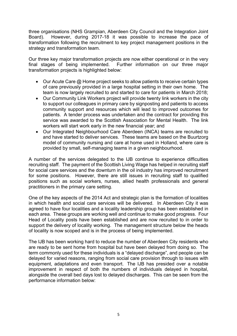three organisations (NHS Grampian, Aberdeen City Council and the Integration Joint Board). However, during 2017-18 it was possible to increase the pace of transformation following the recruitment to key project management positions in the strategy and transformation team.

Our three key major transformation projects are now either operational or in the very final stages of being implemented. Further information on our three major transformation projects is highlighted below:

- Our Acute Care @ Home project seeks to allow patients to receive certain types of care previously provided in a large hospital setting in their own home. The team is now largely recruited to and started to care for patients in March 2018;
- Our Community Link Workers project will provide twenty link workers in the city to support our colleagues in primary care by signposting and patients to access community support and resources which will lead to improved outcomes for patients. A tender process was undertaken and the contract for providing this service was awarded to the Scottish Association for Mental Health. The link workers will start work early in the new financial year; and
- Our Integrated Neighbourhood Care Aberdeen (INCA) teams are recruited to and have started to deliver services. These teams are based on the Buurtzorg model of community nursing and care at home used in Holland, where care is provided by small, self-managing teams in a given neighbourhood.

A number of the services delegated to the IJB continue to experience difficulties recruiting staff. The payment of the Scottish Living Wage has helped in recruiting staff for social care services and the downturn in the oil industry has improved recruitment for some positions. However, there are still issues in recruiting staff to qualified positions such as social workers, nurses, allied health professionals and general practitioners in the primary care setting.

One of the key aspects of the 2014 Act and strategic plan is the formation of localities in which health and social care services will be delivered. In Aberdeen City it was agreed to have four localities and a locality leadership group has been established in each area. These groups are working well and continue to make good progress. Four Head of Locality posts have been established and are now recruited to in order to support the delivery of locality working. The management structure below the heads of locality is now scoped and is in the process of being implemented.

The IJB has been working hard to reduce the number of Aberdeen City residents who are ready to be sent home from hospital but have been delayed from doing so. The term commonly used for these individuals is a "delayed discharge", and people can be delayed for varied reasons, ranging from social care provision through to issues with equipment, adaptations and even transport. The IJB has presided over a notable improvement in respect of both the numbers of individuals delayed in hospital, alongside the overall bed days lost to delayed discharges. This can be seen from the performance information below: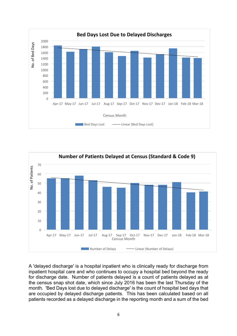



A 'delayed discharge' is a hospital inpatient who is clinically ready for discharge from inpatient hospital care and who continues to occupy a hospital bed beyond the ready for discharge date. Number of patients delayed is a count of patients delayed as at the census snap shot date, which since July 2016 has been the last Thursday of the month. 'Bed Days lost due to delayed discharge' is the count of hospital bed days that are occupied by delayed discharge patients. This has been calculated based on all patients recorded as a delayed discharge in the reporting month and a sum of the bed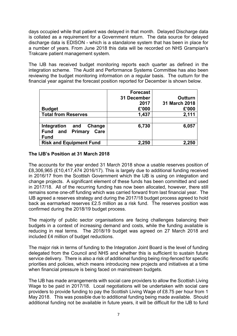days occupied while that patient was delayed in that month. Delayed Discharge data is collated as a requirement for a Government return. The data source for delayed discharge data is EDISON - which is a standalone system that has been in place for a number of years. From June 2018 this data will be recorded on NHS Grampian's Trakcare patient management system.

The IJB has received budget monitoring reports each quarter as defined in the integration scheme. The Audit and Performance Systems Committee has also been reviewing the budget monitoring information on a regular basis. The outturn for the financial year against the forecast position reported for December is shown below.

|                                                                                   | <b>Forecast</b><br>31 December<br>2017 | Outturn<br>31 March 2018 |
|-----------------------------------------------------------------------------------|----------------------------------------|--------------------------|
| <b>Budget</b>                                                                     | £'000                                  | £'000                    |
| <b>Total from Reserves</b>                                                        | 1,437                                  | 2,111                    |
| Integration<br>Change<br>and<br><b>Fund</b><br>and Primary<br>Care<br><b>Fund</b> | 6,730                                  | 6,057                    |
| <b>Risk and Equipment Fund</b>                                                    | 2,250                                  | 2,250                    |

# **The IJB's Position at 31 March 2018**

The accounts for the year ended 31 March 2018 show a usable reserves position of £8,306,965 (£10,417,474 2016/17). This is largely due to additional funding received in 2016/17 from the Scottish Government which the IJB is using on integration and change projects. A significant element of these funds has been committed and used in 2017/18. All of the recurring funding has now been allocated, however, there still remains some one-off funding which was carried forward from last financial year. The IJB agreed a reserves strategy and during the 2017/18 budget process agreed to hold back as earmarked reserves £2.5 million as a risk fund. The reserves position was confirmed during the 2018/19 budget process.

The majority of public sector organisations are facing challenges balancing their budgets in a context of increasing demand and costs, while the funding available is reducing in real terms. The 2018/19 budget was agreed on 27 March 2018 and included £4 million of budget reductions.

The major risk in terms of funding to the Integration Joint Board is the level of funding delegated from the Council and NHS and whether this is sufficient to sustain future service delivery. There is also a risk of additional funding being ring-fenced for specific priorities and policies, which means introducing new projects and initiatives at a time when financial pressure is being faced on mainstream budgets.

The IJB has made arrangements with social care providers to allow the Scottish Living Wage to be paid in 2017/18. Local negotiations will be undertaken with social care providers to provide funding to pay the Scottish Living Wage of £8.75 per hour from 1 May 2018. This was possible due to additional funding being made available. Should additional funding not be available in future years, it will be difficult for the IJB to fund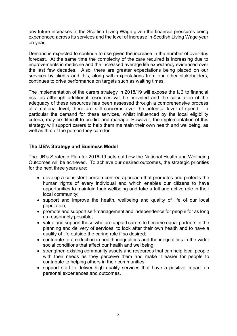any future increases in the Scottish Living Wage given the financial pressures being experienced across its services and the level of increase in Scottish Living Wage year on year.

Demand is expected to continue to rise given the increase in the number of over-65s forecast. At the same time the complexity of the care required is increasing due to improvements in medicine and the increased average life expectancy evidenced over the last few decades. Also, there are greater expectations being placed on our services by clients and this, along with expectations from our other stakeholders, continues to drive performance on targets such as waiting times.

The implementation of the carers strategy in 2018/19 will expose the IJB to financial risk, as although additional resources will be provided and the calculation of the adequacy of these resources has been assessed through a comprehensive process at a national level, there are still concerns over the potential level of spend. In particular the demand for these services, whilst influenced by the local eligibility criteria, may be difficult to predict and manage. However, the implementation of this strategy will support carers to help them maintain their own health and wellbeing, as well as that of the person they care for.

# **The IJB's Strategy and Business Model**

The IJB's Strategic Plan for 2016-19 sets out how the National Health and Wellbeing Outcomes will be achieved. To achieve our desired outcomes, the strategic priorities for the next three years are:

- develop a consistent person-centred approach that promotes and protects the human rights of every individual and which enables our citizens to have opportunities to maintain their wellbeing and take a full and active role in their local community;
- support and improve the health, wellbeing and quality of life of our local population;
- promote and support self-management and independence for people for as long as reasonably possible;
- value and support those who are unpaid carers to become equal partners in the planning and delivery of services, to look after their own health and to have a quality of life outside the caring role if so desired;
- contribute to a reduction in health inequalities and the inequalities in the wider social conditions that affect our health and wellbeing;
- strengthen existing community assets and resources that can help local people with their needs as they perceive them and make it easier for people to contribute to helping others in their communities;
- support staff to deliver high quality services that have a positive impact on personal experiences and outcomes.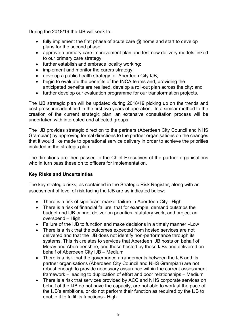During the 2018/19 the IJB will seek to:

- fully implement the first phase of acute care  $\omega$  home and start to develop plans for the second phase;
- approve a primary care improvement plan and test new delivery models linked to our primary care strategy;
- further establish and embrace locality working;
- implement and monitor the carers strategy;
- develop a public health strategy for Aberdeen City IJB;
- begin to evaluate the benefits of the INCA teams and, providing the anticipated benefits are realised, develop a roll-out plan across the city; and
- further develop our evaluation programme for our transformation projects.

The IJB strategic plan will be updated during 2018/19 picking up on the trends and cost pressures identified in the first two years of operation. In a similar method to the creation of the current strategic plan, an extensive consultation process will be undertaken with interested and affected groups.

The IJB provides strategic direction to the partners (Aberdeen City Council and NHS Grampian) by approving formal directions to the partner organisations on the changes that it would like made to operational service delivery in order to achieve the priorities included in the strategic plan.

The directions are then passed to the Chief Executives of the partner organisations who in turn pass these on to officers for implementation.

# **Key Risks and Uncertainties**

The key strategic risks, as contained in the Strategic Risk Register, along with an assessment of level of risk facing the IJB are as indicated below:

- There is a risk of significant market failure in Aberdeen City– High
- There is a risk of financial failure, that for example, demand outstrips the budget and IJB cannot deliver on priorities, statutory work, and project an overspend – High
- Failure of the IJB to function and make decisions in a timely manner –Low
- There is a risk that the outcomes expected from hosted services are not delivered and that the IJB does not identify non-performance through its systems. This risk relates to services that Aberdeen IJB hosts on behalf of Moray and Aberdeenshire, and those hosted by those IJBs and delivered on behalf of Aberdeen City IJB – Medium
- There is a risk that the governance arrangements between the IJB and its partner organisations (Aberdeen City Council and NHS Grampian) are not robust enough to provide necessary assurance within the current assessment framework – leading to duplication of effort and poor relationships – Medium
- There is a risk that services provided by ACC and NHS corporate services on behalf of the IJB do not have the capacity, are not able to work at the pace of the IJB's ambitions, or do not perform their function as required by the IJB to enable it to fulfil its functions - High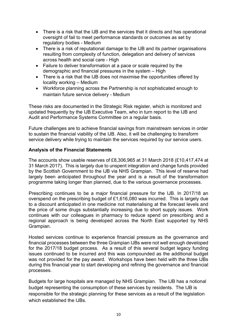- There is a risk that the IJB and the services that it directs and has operational oversight of fail to meet performance standards or outcomes as set by regulatory bodies - Medium
- There is a risk of reputational damage to the IJB and its partner organisations resulting from complexity of function, delegation and delivery of services across health and social care - High
- Failure to deliver transformation at a pace or scale required by the demographic and financial pressures in the system – High
- There is a risk that the IJB does not maximise the opportunities offered by locality working – Medium
- Workforce planning across the Partnership is not sophisticated enough to maintain future service delivery - Medium

These risks are documented in the Strategic Risk register, which is monitored and updated frequently by the IJB Executive Team, who in turn report to the IJB and Audit and Performance Systems Committee on a regular basis.

Future challenges are to achieve financial savings from mainstream services in order to sustain the financial viability of the IJB. Also, it will be challenging to transform service delivery while trying to maintain the services required by our service users.

# **Analysis of the Financial Statements**

The accounts show usable reserves of £8,306,965 at 31 March 2018 (£10,417,474 at 31 March 2017). This is largely due to unspent integration and change funds provided by the Scottish Government to the IJB via NHS Grampian. This level of reserve had largely been anticipated throughout the year and is a result of the transformation programme taking longer than planned, due to the various governance processes.

Prescribing continues to be a major financial pressure for the IJB. In 2017/18 an overspend on the prescribing budget of £1,616,080 was incurred. This is largely due to a discount anticipated in one medicine not materialising at the forecast levels and the price of some drugs substantially increasing due to short supply issues. Work continues with our colleagues in pharmacy to reduce spend on prescribing and a regional approach is being developed across the North East supported by NHS Grampian.

Hosted services continue to experience financial pressure as the governance and financial processes between the three Grampian IJBs were not well enough developed for the 2017/18 budget process. As a result of this several budget legacy funding issues continued to be incurred and this was compounded as the additional budget was not provided for the pay award. Workshops have been held with the three IJBs during this financial year to start developing and refining the governance and financial processes.

Budgets for large hospitals are managed by NHS Grampian. The IJB has a notional budget representing the consumption of these services by residents. The IJB is responsible for the strategic planning for these services as a result of the legislation which established the IJBs.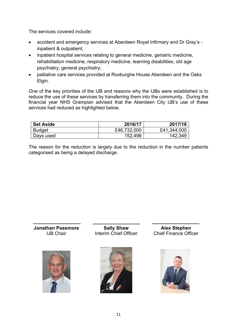The services covered include:

- accident and emergency services at Aberdeen Royal Infirmary and Dr Gray's inpatient & outpatient;
- inpatient hospital services relating to general medicine, geriatric medicine, rehabilitation medicine, respiratory medicine, learning disabilities, old age psychiatry, general psychiatry;
- palliative care services provided at Roxburghe House Aberdeen and the Oaks Elgin.

One of the key priorities of the IJB and reasons why the IJBs were established is to reduce the use of these services by transferring them into the community. During the financial year NHS Grampian advised that the Aberdeen City IJB's use of these services had reduced as highlighted below.

| <b>Set Aside</b> | 2016/17     | 2017/18     |
|------------------|-------------|-------------|
| <b>Budget</b>    | £46,732,000 | £41,344,000 |
| Days used        | 152,498     | 142,349     |

The reason for the reduction is largely due to the reduction in the number patients categorised as being a delayed discharge.



**Jonathan Passmore Sally Shaw Alex Stephen** IJB Chair Interim Chief Officer Chief Finance Officer



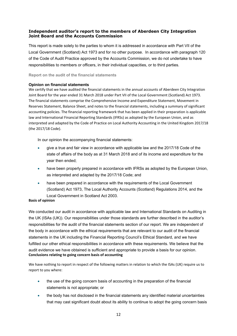#### **Independent auditor's report to the members of Aberdeen City Integration Joint Board and the Accounts Commission**

This report is made solely to the parties to whom it is addressed in accordance with Part VII of the Local Government (Scotland) Act 1973 and for no other purpose. In accordance with paragraph 120 of the Code of Audit Practice approved by the Accounts Commission, we do not undertake to have responsibilities to members or officers, in their individual capacities, or to third parties.

#### **Report on the audit of the financial statements**

#### **Opinion on financial statements**

We certify that we have audited the financial statements in the annual accounts of Aberdeen City Integration Joint Board for the year ended 31 March 2018 under Part VII of the Local Government (Scotland) Act 1973. The financial statements comprise the Comprehensive Income and Expenditure Statement, Movement in Reserves Statement, Balance Sheet, and notes to the financial statements, including a summary of significant accounting policies. The financial reporting framework that has been applied in their preparation is applicable law and International Financial Reporting Standards (IFRSs) as adopted by the European Union, and as interpreted and adapted by the Code of Practice on Local Authority Accounting in the United Kingdom 2017/18 (the 2017/18 Code).

In our opinion the accompanying financial statements:

- give a true and fair view in accordance with applicable law and the 2017/18 Code of the state of affairs of the body as at 31 March 2018 and of its income and expenditure for the year then ended;
- have been properly prepared in accordance with IFRSs as adopted by the European Union, as interpreted and adapted by the 2017/18 Code; and
- have been prepared in accordance with the requirements of the Local Government (Scotland) Act 1973, The Local Authority Accounts (Scotland) Regulations 2014, and the Local Government in Scotland Act 2003.

#### **Basis of opinion**

We conducted our audit in accordance with applicable law and International Standards on Auditing in the UK (ISAs (UK)). Our responsibilities under those standards are further described in the auditor's responsibilities for the audit of the financial statements section of our report. We are independent of the body in accordance with the ethical requirements that are relevant to our audit of the financial statements in the UK including the Financial Reporting Council's Ethical Standard, and we have fulfilled our other ethical responsibilities in accordance with these requirements. We believe that the audit evidence we have obtained is sufficient and appropriate to provide a basis for our opinion. **Conclusions relating to going concern basis of accounting**

We have nothing to report in respect of the following matters in relation to which the ISAs (UK) require us to report to you where:

- the use of the going concern basis of accounting in the preparation of the financial statements is not appropriate; or
- the body has not disclosed in the financial statements any identified material uncertainties that may cast significant doubt about its ability to continue to adopt the going concern basis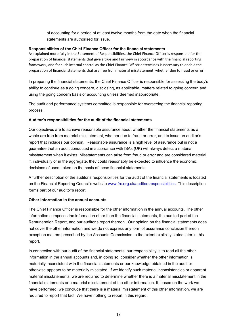of accounting for a period of at least twelve months from the date when the financial statements are authorised for issue.

#### **Responsibilities of the Chief Finance Officer for the financial statements**

As explained more fully in the Statement of Responsibilities, the Chief Finance Officer is responsible for the preparation of financial statements that give a true and fair view in accordance with the financial reporting framework, and for such internal control as the Chief Finance Officer determines is necessary to enable the preparation of financial statements that are free from material misstatement, whether due to fraud or error.

In preparing the financial statements, the Chief Finance Officer is responsible for assessing the body's ability to continue as a going concern, disclosing, as applicable, matters related to going concern and using the going concern basis of accounting unless deemed inappropriate.

The audit and performance systems committee is responsible for overseeing the financial reporting process.

#### **Auditor's responsibilities for the audit of the financial statements**

Our objectives are to achieve reasonable assurance about whether the financial statements as a whole are free from material misstatement, whether due to fraud or error, and to issue an auditor's report that includes our opinion. Reasonable assurance is a high level of assurance but is not a guarantee that an audit conducted in accordance with ISAs (UK) will always detect a material misstatement when it exists. Misstatements can arise from fraud or error and are considered material if, individually or in the aggregate, they could reasonably be expected to influence the economic decisions of users taken on the basis of these financial statements.

A further description of the auditor's responsibilities for the audit of the financial statements is located on the Financial Reporting Council's website [www.frc.org.uk/auditorsresponsibilities](https://www.frc.org.uk/Our-Work/Audit-and-Actuarial-Regulation/Audit-and-assurance/Standards-and-guidance/Standards-and-guidance-for-auditors/Auditors-responsibilities-for-audit/Description-of-auditors-responsibilities-for-audit.aspx). This description forms part of our auditor's report.

#### **Other information in the annual accounts**

The Chief Finance Officer is responsible for the other information in the annual accounts. The other information comprises the information other than the financial statements, the audited part of the Remuneration Report, and our auditor's report thereon. Our opinion on the financial statements does not cover the other information and we do not express any form of assurance conclusion thereon except on matters prescribed by the Accounts Commission to the extent explicitly stated later in this report.

In connection with our audit of the financial statements, our responsibility is to read all the other information in the annual accounts and, in doing so, consider whether the other information is materially inconsistent with the financial statements or our knowledge obtained in the audit or otherwise appears to be materially misstated. If we identify such material inconsistencies or apparent material misstatements, we are required to determine whether there is a material misstatement in the financial statements or a material misstatement of the other information. If, based on the work we have performed, we conclude that there is a material misstatement of this other information, we are required to report that fact. We have nothing to report in this regard.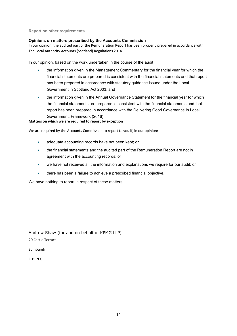#### **Report on other requirements**

#### **Opinions on matters prescribed by the Accounts Commission**

In our opinion, the audited part of the Remuneration Report has been properly prepared in accordance with The Local Authority Accounts (Scotland) Regulations 2014.

In our opinion, based on the work undertaken in the course of the audit

- the information given in the Management Commentary for the financial year for which the financial statements are prepared is consistent with the financial statements and that report has been prepared in accordance with statutory guidance issued under the Local Government in Scotland Act 2003; and
- the information given in the Annual Governance Statement for the financial year for which the financial statements are prepared is consistent with the financial statements and that report has been prepared in accordance with the Delivering Good Governance in Local Government: Framework (2016).

#### **Matters on which we are required to report by exception**

We are required by the Accounts Commission to report to you if, in our opinion:

- adequate accounting records have not been kept; or
- the financial statements and the audited part of the Remuneration Report are not in agreement with the accounting records; or
- we have not received all the information and explanations we require for our audit; or
- there has been a failure to achieve a prescribed financial objective.

We have nothing to report in respect of these matters.

Andrew Shaw (for and on behalf of KPMG LLP) 20 Castle Terrace

Edinburgh

EH1 2EG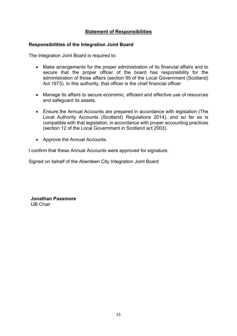# <span id="page-14-0"></span>**Statement of Responsibilities**

# **Responsibilities of the Integration Joint Board**

The Integration Joint Board is required to:

- Make arrangements for the proper administration of its financial affairs and to secure that the proper officer of the board has responsibility for the administration of those affairs (section 95 of the Local Government (Scotland) Act 1973). In this authority, that officer is the chief financial officer.
- Manage its affairs to secure economic, efficient and effective use of resources and safeguard its assets.
- Ensure the Annual Accounts are prepared in accordance with legislation (The Local Authority Accounts (Scotland) Regulations 2014), and so far as is compatible with that legislation, in accordance with proper accounting practices (section 12 of the Local Government in Scotland act 2003).
- Approve the Annual Accounts.

I confirm that these Annual Accounts were approved for signature.

Signed on behalf of the Aberdeen City Integration Joint Board

**Jonathan Passmore** IJB Chair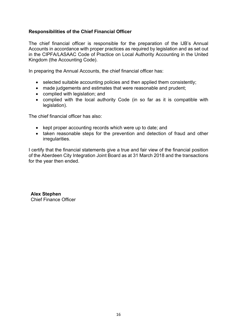# **Responsibilities of the Chief Financial Officer**

The chief financial officer is responsible for the preparation of the IJB's Annual Accounts in accordance with proper practices as required by legislation and as set out in the CIPFA/LASAAC Code of Practice on Local Authority Accounting in the United Kingdom (the Accounting Code).

In preparing the Annual Accounts, the chief financial officer has:

- selected suitable accounting policies and then applied them consistently;
- made judgements and estimates that were reasonable and prudent;
- complied with legislation; and
- complied with the local authority Code (in so far as it is compatible with legislation).

The chief financial officer has also:

- kept proper accounting records which were up to date; and
- taken reasonable steps for the prevention and detection of fraud and other irregularities.

I certify that the financial statements give a true and fair view of the financial position of the Aberdeen City Integration Joint Board as at 31 March 2018 and the transactions for the year then ended.

**Alex Stephen** Chief Finance Officer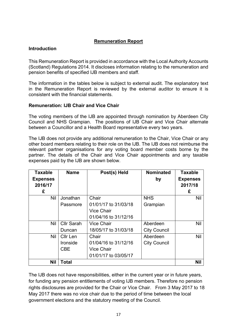# <span id="page-16-0"></span>**Remuneration Report**

# **Introduction**

This Remuneration Report is provided in accordance with the Local Authority Accounts (Scotland) Regulations 2014. It discloses information relating to the remuneration and pension benefits of specified IJB members and staff.

The information in the tables below is subject to external audit. The explanatory text in the Remuneration Report is reviewed by the external auditor to ensure it is consistent with the financial statements.

# **Remuneration: IJB Chair and Vice Chair**

The voting members of the IJB are appointed through nomination by Aberdeen City Council and NHS Grampian. The positions of IJB Chair and Vice Chair alternate between a Councillor and a Health Board representative every two years.

The IJB does not provide any additional remuneration to the Chair, Vice Chair or any other board members relating to their role on the IJB. The IJB does not reimburse the relevant partner organisations for any voting board member costs borne by the partner. The details of the Chair and Vice Chair appointments and any taxable expenses paid by the IJB are shown below.

| <b>Taxable</b>  | <b>Name</b>       | Post(s) Held         | <b>Nominated</b>    | <b>Taxable</b>  |
|-----------------|-------------------|----------------------|---------------------|-----------------|
| <b>Expenses</b> |                   |                      | by                  | <b>Expenses</b> |
| 2016/17         |                   |                      |                     | 2017/18         |
| £               |                   |                      |                     | £               |
| Nil             | Jonathan          | Chair                | <b>NHS</b>          | <b>Nil</b>      |
|                 | Passmore          | 01/01/17 to 31/03/18 | Grampian            |                 |
|                 |                   | <b>Vice Chair</b>    |                     |                 |
|                 |                   | 01/04/16 to 31/12/16 |                     |                 |
| <b>Nil</b>      | <b>Cllr Sarah</b> | <b>Vice Chair</b>    | Aberdeen            | <b>Nil</b>      |
|                 | Duncan            | 18/05/17 to 31/03/18 | <b>City Council</b> |                 |
| <b>Nil</b>      | Cllr Len          | Chair                | Aberdeen            | <b>Nil</b>      |
|                 | Ironside          | 01/04/16 to 31/12/16 | <b>City Council</b> |                 |
|                 | <b>CBE</b>        | <b>Vice Chair</b>    |                     |                 |
|                 |                   | 01/01/17 to 03/05/17 |                     |                 |
| <b>Nil</b>      | <b>Total</b>      |                      |                     | Nil             |

The IJB does not have responsibilities, either in the current year or in future years, for funding any pension entitlements of voting IJB members. Therefore no pension rights disclosures are provided for the Chair or Vice Chair. From 3 May 2017 to 18 May 2017 there was no vice chair due to the period of time between the local government elections and the statutory meeting of the Council.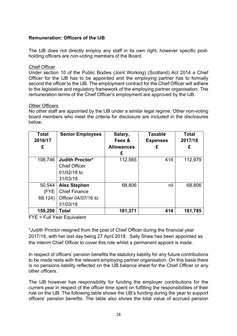# **Remuneration: Officers of the IJB**

The IJB does not directly employ any staff in its own right, however specific postholding officers are non-voting members of the Board.

#### Chief Officer

Under section 10 of the Public Bodies (Joint Working) (Scotland) Act 2014 a Chief Officer for the IJB has to be appointed and the employing partner has to formally second the officer to the IJB. The employment contract for the Chief Officer will adhere to the legislative and regulatory framework of the employing partner organisation. The remuneration terms of the Chief Officer's employment are approved by the IJB.

#### **Other Officers**

No other staff are appointed by the IJB under a similar legal regime. Other non-voting board members who meet the criteria for disclosure are included in the disclosures below.

| <b>Total</b><br>2016/17   | <b>Senior Employees</b>                                                        | Salary,<br>Fees &      | <b>Taxable</b><br><b>Expenses</b> | <b>Total</b><br>2017/18 |
|---------------------------|--------------------------------------------------------------------------------|------------------------|-----------------------------------|-------------------------|
| £                         |                                                                                | <b>Allowances</b><br>£ | £                                 | £                       |
| 108,746                   | <b>Judith Proctor*</b><br><b>Chief Officer</b><br>01/02/16 to<br>31/03/18      | 112,565                | 414                               | 112,979                 |
| 50,544<br>(FYE<br>68,124) | <b>Alex Stephen</b><br><b>Chief Finance</b><br>Officer 04/07/16 to<br>31/03/18 | 68,806                 | nil                               | 68,806                  |
| 159,290                   | <b>Total</b>                                                                   | 181,371                | 414                               | 181,785                 |

FYE = Full Year Equivalent

\*Judith Proctor resigned from the post of Chief Officer during the financial year 2017/18, with her last day being 27 April 2018. Sally Shaw has been appointed as the interim Chief Officer to cover this role whilst a permanent appoint is made.

In respect of officers' pension benefits the statutory liability for any future contributions to be made rests with the relevant employing partner organisation. On this basis there is no pensions liability reflected on the IJB balance sheet for the Chief Officer or any other officers.

The IJB however has responsibility for funding the employer contributions for the current year in respect of the officer time spent on fulfilling the responsibilities of their role on the IJB. The following table shows the IJB's funding during the year to support officers' pension benefits. The table also shows the total value of accrued pension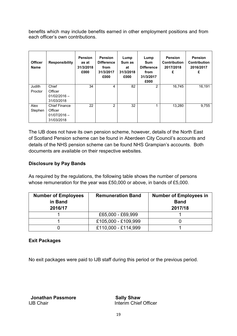benefits which may include benefits earned in other employment positions and from each officer's own contributions.

| <b>Officer</b><br><b>Name</b> | <b>Responsibility</b> | <b>Pension</b><br>as at<br>31/3/2018<br>£000 | <b>Pension</b><br><b>Difference</b><br>from<br>31/3/2017<br>£000 | Lump<br>Sum as<br>at<br>31/3/2018<br>£000 | Lump<br><b>Sum</b><br><b>Difference</b><br>from<br>31/3/2017<br>£000 | <b>Pension</b><br><b>Contribution</b><br>2017/2018<br>£ | <b>Pension</b><br><b>Contribution</b><br>2016/2017<br>£ |
|-------------------------------|-----------------------|----------------------------------------------|------------------------------------------------------------------|-------------------------------------------|----------------------------------------------------------------------|---------------------------------------------------------|---------------------------------------------------------|
| Judith                        | Chief                 | 34                                           | 4                                                                | 82                                        | 2                                                                    | 16.745                                                  | 16,191                                                  |
| Proctor                       | Officer               |                                              |                                                                  |                                           |                                                                      |                                                         |                                                         |
|                               | $01/02/2016 -$        |                                              |                                                                  |                                           |                                                                      |                                                         |                                                         |
|                               | 31/03/2018            |                                              |                                                                  |                                           |                                                                      |                                                         |                                                         |
| Alex                          | <b>Chief Finance</b>  | 22                                           | 2                                                                | 32                                        | 1                                                                    | 13,280                                                  | 9,755                                                   |
| Stephen                       | Officer               |                                              |                                                                  |                                           |                                                                      |                                                         |                                                         |
|                               | $01/07/2016 -$        |                                              |                                                                  |                                           |                                                                      |                                                         |                                                         |
|                               | 31/03/2018            |                                              |                                                                  |                                           |                                                                      |                                                         |                                                         |

The IJB does not have its own pension scheme, however, details of the North East of Scotland Pension scheme can be found in Aberdeen City Council's accounts and details of the NHS pension scheme can be found NHS Grampian's accounts. Both documents are available on their respective websites.

# **Disclosure by Pay Bands**

As required by the regulations, the following table shows the number of persons whose remuneration for the year was £50,000 or above, in bands of £5,000.

| <b>Number of Employees</b><br>in Band<br>2016/17 | <b>Remuneration Band</b> | <b>Number of Employees in</b><br><b>Band</b><br>2017/18 |
|--------------------------------------------------|--------------------------|---------------------------------------------------------|
|                                                  | £65,000 - £69,999        |                                                         |
|                                                  | £105,000 - £109,999      |                                                         |
|                                                  | £110,000 - £114,999      |                                                         |

# **Exit Packages**

No exit packages were paid to IJB staff during this period or the previous period.

**Jonathan Passmore Sally Shaw IJB Chair Interim Chief Officer**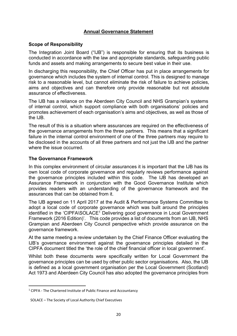# <span id="page-19-0"></span>**Annual Governance Statement**

## **Scope of Responsibility**

The Integration Joint Board ("IJB") is responsible for ensuring that its business is conducted in accordance with the law and appropriate standards, safeguarding public funds and assets and making arrangements to secure best value in their use.

In discharging this responsibility, the Chief Officer has put in place arrangements for governance which includes the system of internal control. This is designed to manage risk to a reasonable level, but cannot eliminate the risk of failure to achieve policies, aims and objectives and can therefore only provide reasonable but not absolute assurance of effectiveness.

The IJB has a reliance on the Aberdeen City Council and NHS Grampian's systems of internal control, which support compliance with both organisations' policies and promotes achievement of each organisation's aims and objectives, as well as those of the IJB.

The result of this is a situation where assurances are required on the effectiveness of the governance arrangements from the three partners. This means that a significant failure in the internal control environment of one of the three partners may require to be disclosed in the accounts of all three partners and not just the IJB and the partner where the issue occurred.

# **The Governance Framework**

In this complex environment of circular assurances it is important that the IJB has its own local code of corporate governance and regularly reviews performance against the governance principles included within this code. The IJB has developed an Assurance Framework in conjunction with the Good Governance Institute which provides readers with an understanding of the governance framework and the assurances that can be obtained from it.

The IJB agreed on 11 April 2017 at the Audit & Performance Systems Committee to adopt a local code of corporate governance which was built around the principles identified in the 'CIPFA\SOLACE<sup>1</sup> Delivering good governance in Local Government Framework (2016 Edition)'. This code provides a list of documents from an IJB, NHS Grampian and Aberdeen City Council perspective which provide assurance on the governance framework.

At the same meeting a review undertaken by the Chief Finance Officer evaluating the IJB's governance environment against the governance principles detailed in the CIPFA document titled the 'the role of the chief financial officer in local government'.

Whilst both these documents were specifically written for Local Government the governance principles can be used by other public sector organisations. Also, the IJB is defined as a local government organisation per the Local Government (Scotland) Act 1973 and Aberdeen City Council has also adopted the governance principles from

<sup>&</sup>lt;sup>1</sup> CIPFA - The Chartered Institute of Public Finance and Accountancy

SOLACE – The Society of Local Authority Chief Executives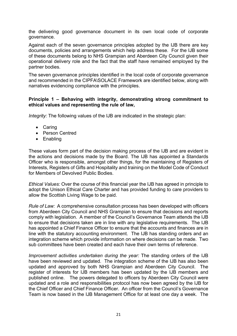the delivering good governance document in its own local code of corporate governance.

Against each of the seven governance principles adopted by the IJB there are key documents, policies and arrangements which help address these. For the IJB some of these documents belong to NHS Grampian and Aberdeen City Council given their operational delivery role and the fact that the staff have remained employed by the partner bodies.

The seven governance principles identified in the local code of corporate governance and recommended in the CIPFA\SOLACE Framework are identified below, along with narratives evidencing compliance with the principles.

### **Principle 1 – Behaving with integrity, demonstrating strong commitment to ethical values and representing the rule of law,**

*Integrity:* The following values of the IJB are indicated in the strategic plan:

- Caring
- Person Centred
- Enabling

These values form part of the decision making process of the IJB and are evident in the actions and decisions made by the Board. The IJB has appointed a Standards Officer who is responsible, amongst other things, for the maintaining of Registers of Interests, Registers of Gifts and Hospitality and training on the Model Code of Conduct for Members of Devolved Public Bodies.

*Ethical Values:* Over the course of this financial year the IJB has agreed in principle to adopt the Unison Ethical Care Charter and has provided funding to care providers to allow the Scottish Living Wage to be paid.

*Rule of Law:* A comprehensive consultation process has been developed with officers from Aberdeen City Council and NHS Grampian to ensure that decisions and reports comply with legislation. A member of the Council's Governance Team attends the IJB to ensure that decisions taken are in line with any legislative requirements. The IJB has appointed a Chief Finance Officer to ensure that the accounts and finances are in line with the statutory accounting environment. The IJB has standing orders and an integration scheme which provide information on where decisions can be made. Two sub committees have been created and each have their own terms of reference.

*Improvement activities undertaken during the year:* The standing orders of the IJB have been reviewed and updated. The integration scheme of the IJB has also been updated and approved by both NHS Grampian and Aberdeen City Council. The register of interests for IJB members has been updated by the IJB members and published online. The powers delegated to officers by Aberdeen City Council were updated and a role and responsibilities protocol has now been agreed by the IJB for the Chief Officer and Chief Finance Officer. An officer from the Council's Governance Team is now based in the IJB Management Office for at least one day a week. The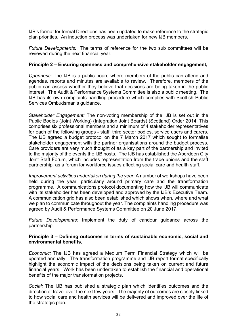IJB's format for formal Directions has been updated to make reference to the strategic plan priorities. An induction process was undertaken for new IJB members.

*Future Developments:* The terms of reference for the two sub committees will be reviewed during the next financial year.

# **Principle 2 – Ensuring openness and comprehensive stakeholder engagement,**

*Openness:* The IJB is a public board where members of the public can attend and agendas, reports and minutes are available to review. Therefore, members of the public can assess whether they believe that decisions are being taken in the public interest. The Audit & Performance Systems Committee is also a public meeting. The IJB has its own complaints handling procedure which complies with Scottish Public Services Ombudsman's guidance.

*Stakeholder Engagement:* The non-voting membership of the IJB is set out in the Public Bodies (Joint Working) (Integration Joint Boards) (Scotland) Order 2014. This comprises six professional members and a minimum of 4 stakeholder representatives for each of the following groups - staff, third sector bodies, service users and carers. The IJB agreed a budget protocol on the 7 March 2017 which sought to formalise stakeholder engagement with the partner organisations around the budget process. Care providers are very much thought of as a key part of the partnership and invited to the majority of the events the IJB hosts. The IJB has established the Aberdeen City Joint Staff Forum, which includes representation from the trade unions and the staff partnership, as a forum for workforce issues affecting social care and health staff.

*Improvement activities undertaken during the year:* A number of workshops have been held during the year, particularly around primary care and the transformation programme. A communications protocol documenting how the IJB will communicate with its stakeholder has been developed and approved by the IJB's Executive Team. A communication grid has also been established which shows when, where and what we plan to communicate throughout the year. The complaints handling procedure was agreed by Audit & Performance Systems Committee on 20 June 2017.

*Future Developments:* Implement the duty of candour guidance across the partnership.

### **Principle 3 – Defining outcomes in terms of sustainable economic, social and environmental benefits**,

*Economic:* The IJB has agreed a Medium Term Financial Strategy which will be updated annually. The transformation programme and IJB report format specifically highlight the economic impact of the decisions being taken on current and future financial years. Work has been undertaken to establish the financial and operational benefits of the major transformation projects.

*Social:* The IJB has published a strategic plan which identifies outcomes and the direction of travel over the next few years. The majority of outcomes are closely linked to how social care and health services will be delivered and improved over the life of the strategic plan.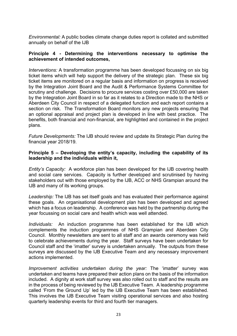*Environmental:* A public bodies climate change duties report is collated and submitted annually on behalf of the IJB

### **Principle 4 - Determining the interventions necessary to optimise the achievement of intended outcomes,**

*Interventions:* A transformation programme has been developed focussing on six big ticket items which will help support the delivery of the strategic plan. These six big ticket items are monitored on a regular basis and information on progress is received by the Integration Joint Board and the Audit & Performance Systems Committee for scrutiny and challenge. Decisions to procure services costing over £50,000 are taken by the Integration Joint Board in so far as it relates to a Direction made to the NHS or Aberdeen City Council in respect of a delegated function and each report contains a section on risk. The Transformation Board monitors any new projects ensuring that an optional appraisal and project plan is developed in line with best practice. The benefits, both financial and non-financial, are highlighted and contained in the project plans.

*Future Developments:* The IJB should review and update its Strategic Plan during the financial year 2018/19.

#### **Principle 5 – Developing the entity's capacity, including the capability of its leadership and the individuals within it,**

*Entity's Capacity:* A workforce plan has been developed for the IJB covering health and social care services. Capacity is further developed and scrutinised by having stakeholders out with those employed by the IJB, ACC or NHS Grampian around the IJB and many of its working groups.

*Leadership:* The IJB has set itself goals and has evaluated their performance against these goals.An organisational development plan has been developed and agreed which has a focus on leadership. A conference was held by the partnership during the year focussing on social care and health which was well attended.

*Individuals:* An induction programme has been established for the IJB which complements the induction programmes of NHS Grampian and Aberdeen City Council. Monthly newsletters are sent to all staff and an awards ceremony was held to celebrate achievements during the year. Staff surveys have been undertaken for Council staff and the 'imatter' survey is undertaken annually. The outputs from these surveys are discussed by the IJB Executive Team and any necessary improvement actions implemented.

*Improvement activities undertaken during the year:* The 'imatter' survey was undertaken and teams have prepared their action plans on the basis of the information included. A dignity at work staff survey was also rolled out to staff and the results are in the process of being reviewed by the IJB Executive Team. A leadership programme called 'From the Ground Up' led by the IJB Executive Team has been established. This involves the IJB Executive Team visiting operational services and also hosting quarterly leadership events for third and fourth tier managers.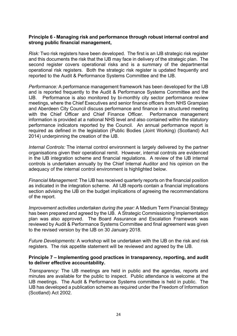### **Principle 6 - Managing risk and performance through robust internal control and strong public financial management,**

*Risk:* Two risk registers have been developed. The first is an IJB strategic risk register and this documents the risk that the IJB may face in delivery of the strategic plan. The second register covers operational risks and is a summary of the departmental operational risk registers. Both the strategic risk register is updated frequently and reported to the Audit & Performance Systems Committee and the IJB.

*Performance:* A performance management framework has been developed for the IJB and is reported frequently to the Audit & Performance Systems Committee and the IJB. Performance is also monitored by bi-monthly city sector performance review meetings, where the Chief Executives and senior finance officers from NHS Grampian and Aberdeen City Council discuss performance and finance in a structured meeting with the Chief Officer and Chief Finance Officer. Performance management information is provided at a national NHS level and also contained within the statutory performance indicators reported by the Council. An annual performance report is required as defined in the legislation (Public Bodies (Joint Working) (Scotland) Act 2014) underpinning the creation of the IJB.

*Internal Controls:* The internal control environment is largely delivered by the partner organisations given their operational remit. However, internal controls are evidenced in the IJB integration scheme and financial regulations. A review of the IJB internal controls is undertaken annually by the Chief Internal Auditor and his opinion on the adequacy of the internal control environment is highlighted below.

*Financial Management:* The IJB has received quarterly reports on the financial position as indicated in the integration scheme. All IJB reports contain a financial implications section advising the IJB on the budget implications of agreeing the recommendations of the report.

*Improvement activities undertaken during the year:* A Medium Term Financial Strategy has been prepared and agreed by the IJB. A Strategic Commissioning Implementation plan was also approved. The Board Assurance and Escalation Framework was reviewed by Audit & Performance Systems Committee and final agreement was given to the revised version by the IJB on 30 January 2018.

*Future Developments:* A workshop will be undertaken with the IJB on the risk and risk registers. The risk appetite statement will be reviewed and agreed by the IJB.

#### **Principle 7 – Implementing good practices in transparency, reporting, and audit to deliver effective accountability.**

*Transparency:* The IJB meetings are held in public and the agendas, reports and minutes are available for the public to inspect. Public attendance is welcome at the IJB meetings. The Audit & Performance Systems committee is held in public. The IJB has developed a publication scheme as required under the Freedom of Information (Scotland) Act 2002.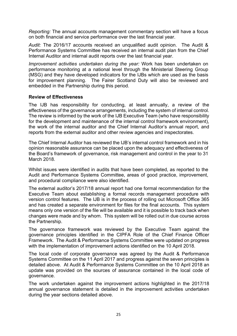*Reporting:* The annual accounts management commentary section will have a focus on both financial and service performance over the last financial year.

*Audit:* The 2016/17 accounts received an unqualified audit opinion. The Audit & Performance Systems Committee has received an internal audit plan from the Chief Internal Auditor and internal audit reports over the last financial year.

*Improvement activities undertaken during the year:* Work has been undertaken on performance monitoring at a national level through the Ministerial Steering Group (MSG) and they have developed indicators for the IJBs which are used as the basis for improvement planning. The Fairer Scotland Duty will also be reviewed and embedded in the Partnership during this period.

# **Review of Effectiveness**

The IJB has responsibility for conducting, at least annually, a review of the effectiveness of the governance arrangements, including the system of internal control. The review is informed by the work of the IJB Executive Team (who have responsibility for the development and maintenance of the internal control framework environment), the work of the internal auditor and the Chief Internal Auditor's annual report, and reports from the external auditor and other review agencies and inspectorates.

The Chief Internal Auditor has reviewed the IJB's internal control framework and in his opinion reasonable assurance can be placed upon the adequacy and effectiveness of the Board's framework of governance, risk management and control in the year to 31 March 2018.

Whilst issues were identified in audits that have been completed, as reported to the Audit and Performance Systems Committee, areas of good practice, improvement, and procedural compliance were also identified.

The external auditor's 2017/18 annual report had one formal recommendation for the Executive Team about establishing a formal records management procedure with version control features. The IJB is in the process of rolling out Microsoft Office 365 and has created a separate environment for files for the final accounts. This system means only one version of the file will be available and it is possible to track back when changes were made and by whom. This system will be rolled out in due course across the Partnership.

The governance framework was reviewed by the Executive Team against the governance principles identified in the CIPFA Role of the Chief Finance Officer Framework. The Audit & Performance Systems Committee were updated on progress with the implementation of improvement actions identified on the 10 April 2018.

The local code of corporate governance was agreed by the Audit & Performance Systems Committee on the 11 April 2017 and progress against the seven principles is detailed above. At Audit & Performance Systems Committee on the 10 April 2018 an update was provided on the sources of assurance contained in the local code of governance.

The work undertaken against the improvement actions highlighted in the 2017/18 annual governance statement is detailed in the improvement activities undertaken during the year sections detailed above.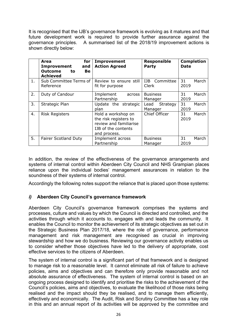It is recognised that the IJB's governance framework is evolving as it matures and that future development work is required to provide further assurance against the governance principles. A summarised list of the 2018/19 improvement actions is shown directly below:

|    | Area<br>for<br>Improvement<br>and<br><b>Outcome</b><br>Be<br>to<br><b>Achieved</b> | Improvement<br><b>Action Agreed</b>                                                                          | <b>Responsible</b><br>Party      | <b>Completion</b><br><b>Date</b> |
|----|------------------------------------------------------------------------------------|--------------------------------------------------------------------------------------------------------------|----------------------------------|----------------------------------|
| 1. | Sub Committee Terms of<br>Reference                                                | Review to ensure still<br>fit for purpose                                                                    | IJB<br>Committee<br><b>Clerk</b> | 31<br>March<br>2019              |
| 2. | Duty of Candour                                                                    | Implement<br>across<br>Partnership                                                                           | <b>Business</b><br>Manager       | 31<br>March<br>2019              |
| 3. | Strategic Plan                                                                     | Update the strategic<br>plan                                                                                 | Strategy<br>Lead<br>Manager      | 31<br>March<br>2019              |
| 4. | <b>Risk Registers</b>                                                              | Hold a workshop on<br>the risk registers to<br>review and familiarise<br>IJB of the contents<br>and process. | Chief Officer                    | 31<br>March<br>2019              |
| 5. | <b>Fairer Scotland Duty</b>                                                        | Implement across<br>Partnership                                                                              | <b>Business</b><br>Manager       | 31<br>March<br>2019              |

In addition, the review of the effectiveness of the governance arrangements and systems of internal control within Aberdeen City Council and NHS Grampian places reliance upon the individual bodies' management assurances in relation to the soundness of their systems of internal control.

Accordingly the following notes support the reliance that is placed upon those systems:

# *i)* **Aberdeen City Council's governance framework**

Aberdeen City Council's governance framework comprises the systems and processes, culture and values by which the Council is directed and controlled, and the activities through which it accounts to, engages with and leads the community. It enables the Council to monitor the achievement of its strategic objectives as set out in the Strategic Business Plan 2017/18, where the role of governance, performance management and risk management are recognised as crucial in improving stewardship and how we do business. Reviewing our governance activity enables us to consider whether those objectives have led to the delivery of appropriate, cost effective services to the citizens of Aberdeen.

The system of internal control is a significant part of that framework and is designed to manage risk to a reasonable level. It cannot eliminate all risk of failure to achieve policies, aims and objectives and can therefore only provide reasonable and not absolute assurance of effectiveness. The system of internal control is based on an ongoing process designed to identify and prioritise the risks to the achievement of the Council's policies, aims and objectives, to evaluate the likelihood of those risks being realised and the impact should they be realised, and to manage them efficiently, effectively and economically. The Audit, Risk and Scrutiny Committee has a key role in this and an annual report of its activities will be approved by the committee and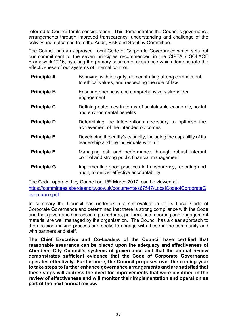referred to Council for its consideration. This demonstrates the Council's governance arrangements through improved transparency, understanding and challenge of the activity and outcomes from the Audit, Risk and Scrutiny Committee.

The Council has an approved Local Code of Corporate Governance which sets out our commitment to the seven principles recommended in the CIPFA / SOLACE Framework 2016, by citing the primary sources of assurance which demonstrate the effectiveness of our systems of internal control.

| <b>Principle A</b> | Behaving with integrity, demonstrating strong commitment<br>to ethical values, and respecting the rule of law |
|--------------------|---------------------------------------------------------------------------------------------------------------|
| <b>Principle B</b> | Ensuring openness and comprehensive stakeholder<br>engagement                                                 |
| <b>Principle C</b> | Defining outcomes in terms of sustainable economic, social<br>and environmental benefits                      |
| <b>Principle D</b> | Determining the interventions necessary to optimise the<br>achievement of the intended outcomes               |
| <b>Principle E</b> | Developing the entity's capacity, including the capability of its<br>leadership and the individuals within it |
| <b>Principle F</b> | Managing risk and performance through robust internal<br>control and strong public financial management       |
| <b>Principle G</b> | Implementing good practices in transparency, reporting and<br>audit, to deliver effective accountability      |

The Code, approved by Council on 15<sup>th</sup> March 2017, can be viewed at: [https://committees.aberdeencity.gov.uk/documents/s67547/LocalCodeofCorporateG](https://committees.aberdeencity.gov.uk/documents/s67547/LocalCodeofCorporateGovernance.pdf) [overnance.pdf](https://committees.aberdeencity.gov.uk/documents/s67547/LocalCodeofCorporateGovernance.pdf)

In summary the Council has undertaken a self-evaluation of its Local Code of Corporate Governance and determined that there is strong compliance with the Code and that governance processes, procedures, performance reporting and engagement material are well managed by the organisation. The Council has a clear approach to the decision-making process and seeks to engage with those in the community and with partners and staff.

**The Chief Executive and Co-Leaders of the Council have certified that reasonable assurance can be placed upon the adequacy and effectiveness of Aberdeen City Council's systems of governance and that the annual review demonstrates sufficient evidence that the Code of Corporate Governance operates effectively. Furthermore, the Council proposes over the coming year to take steps to further enhance governance arrangements and are satisfied that these steps will address the need for improvements that were identified in the review of effectiveness and will monitor their implementation and operation as part of the next annual review.**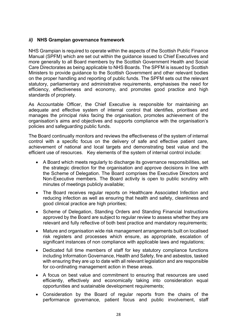# *ii)* **NHS Grampian governance framework**

NHS Grampian is required to operate within the aspects of the Scottish Public Finance Manual (SPFM) which are set out within the guidance issued to Chief Executives and more generally to all Board members by the Scottish Government Health and Social Care Directorates as being applicable to NHS Boards. The SPFM is issued by Scottish Ministers to provide guidance to the Scottish Government and other relevant bodies on the proper handling and reporting of public funds. The SPFM sets out the relevant statutory, parliamentary and administrative requirements, emphasises the need for efficiency, effectiveness and economy, and promotes good practice and high standards of propriety.

As Accountable Officer, the Chief Executive is responsible for maintaining an adequate and effective system of internal control that identifies, prioritises and manages the principal risks facing the organisation, promotes achievement of the organisation's aims and objectives and supports compliance with the organisation's policies and safeguarding public funds.

The Board continually monitors and reviews the effectiveness of the system of internal control with a specific focus on the delivery of safe and effective patient care, achievement of national and local targets and demonstrating best value and the efficient use of resources. Key elements of the system of internal control include:

- A Board which meets regularly to discharge its governance responsibilities, set the strategic direction for the organisation and approve decisions in line with the Scheme of Delegation. The Board comprises the Executive Directors and Non-Executive members. The Board activity is open to public scrutiny with minutes of meetings publicly available;
- The Board receives regular reports on Healthcare Associated Infection and reducing infection as well as ensuring that health and safety, cleanliness and good clinical practice are high priorities;
- Scheme of Delegation, Standing Orders and Standing Financial Instructions approved by the Board are subject to regular review to assess whether they are relevant and fully reflective of both best practice and mandatory requirements;
- Mature and organisation wide risk management arrangements built on localised risk registers and processes which ensure, as appropriate, escalation of significant instances of non compliance with applicable laws and regulations;
- Dedicated full time members of staff for key statutory compliance functions including Information Governance, Health and Safety, fire and asbestos, tasked with ensuring they are up to date with all relevant legislation and are responsible for co-ordinating management action in these areas.
- A focus on best value and commitment to ensuring that resources are used efficiently, effectively and economically taking into consideration equal opportunities and sustainable development requirements;
- Consideration by the Board of regular reports from the chairs of the performance governance, patient focus and public involvement, staff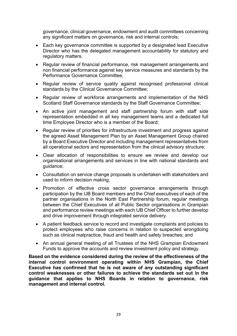governance, clinical governance, endowment and audit committees concerning any significant matters on governance, risk and internal controls;

- Each key governance committee is supported by a designated lead Executive Director who has the delegated management accountability for statutory and regulatory matters.
- Regular review of financial performance, risk management arrangements and non financial performance against key service measures and standards by the Performance Governance Committee;
- Regular review of service quality against recognised professional clinical standards by the Clinical Governance Committee;
- Regular review of workforce arrangements and implementation of the NHS Scotland Staff Governance standards by the Staff Governance Committee;
- An active joint management and staff partnership forum with staff side representation embedded in all key management teams and a dedicated full time Employee Director who is a member of the Board;
- Regular review of priorities for infrastructure investment and progress against the agreed Asset Management Plan by an Asset Management Group chaired by a Board Executive Director and including management representatives from all operational sectors and representation from the clinical advisory structure;
- Clear allocation of responsibilities to ensure we review and develop our organisational arrangements and services in line with national standards and guidance;
- Consultation on service change proposals is undertaken with stakeholders and used to inform decision making;
- Promotion of effective cross sector governance arrangements through participation by the IJB Board members and the Chief executives of each of the partner organisations in the North East Partnership forum, regular meetings between the Chief Executives of all Public Sector organisations in Grampian and performance review meetings with each IJB Chief Officer to further develop and drive improvement through integrated service delivery.
- A patient feedback service to record and investigate complaints and policies to protect employees who raise concerns in relation to suspected wrongdoing such as clinical malpractice, fraud and health and safety breaches; and
- An annual general meeting of all Trustees of the NHS Grampian Endowment Funds to approve the accounts and review investment policy and strategy.

**Based on the evidence considered during the review of the effectiveness of the internal control environment operating within NHS Grampian, the Chief Executive has confirmed that he is not aware of any outstanding significant control weaknesses or other failures to achieve the standards set out in the guidance that applies to NHS Boards in relation to governance, risk management and internal control.**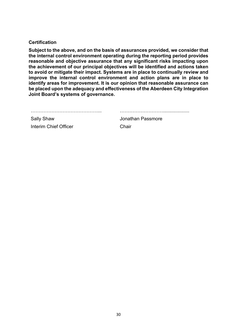#### **Certification**

**Subject to the above, and on the basis of assurances provided, we consider that the internal control environment operating during the reporting period provides reasonable and objective assurance that any significant risks impacting upon the achievement of our principal objectives will be identified and actions taken to avoid or mitigate their impact. Systems are in place to continually review and improve the internal control environment and action plans are in place to identify areas for improvement. It is our opinion that reasonable assurance can be placed upon the adequacy and effectiveness of the Aberdeen City Integration Joint Board's systems of governance.**

| <b>Sally Shaw</b>     | Jonathan Passmore |
|-----------------------|-------------------|
| Interim Chief Officer | Chair             |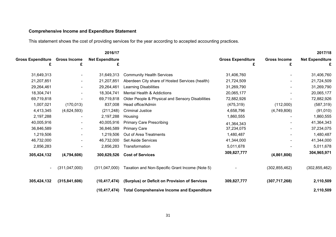# **Comprehensive Income and Expenditure Statement**

This statement shows the cost of providing services for the year according to accepted accounting practices.

|                               |                          | 2016/17                |                                                   |                          |                          | 2017/18                |
|-------------------------------|--------------------------|------------------------|---------------------------------------------------|--------------------------|--------------------------|------------------------|
| <b>Gross Expenditure</b><br>£ | <b>Gross Income</b>      | <b>Net Expenditure</b> |                                                   | <b>Gross Expenditure</b> | <b>Gross Income</b><br>£ | <b>Net Expenditure</b> |
| 31,649,313                    |                          | 31,649,313             | <b>Community Health Services</b>                  | 31,406,760               |                          | 31,406,760             |
| 21,207,851                    |                          | 21,207,851             | Aberdeen City share of Hosted Services (health)   | 21,724,509               |                          | 21,724,509             |
| 29,264,461                    | $\blacksquare$           | 29,264,461             | <b>Learning Disabilities</b>                      | 31,269,790               | $\blacksquare$           | 31,269,790             |
| 18,304,741                    | $\frac{1}{2}$            | 18,304,741             | <b>Mental Health &amp; Addictions</b>             | 20,065,177               |                          | 20,065,177             |
| 69,719,818                    |                          | 69,719,818             | Older People & Physical and Sensory Disabilities  | 72,882,926               |                          | 72,882,926             |
| 1,007,021                     | (170, 013)               | 837,008                | Head office/Admin                                 | (475, 319)               | (112,000)                | (587, 319)             |
| 4,413,345                     | (4,624,593)              | (211, 248)             | <b>Criminal Justice</b>                           | 4,658,796                | (4,749,806)              | (91, 010)              |
| 2,197,288                     |                          | 2,197,288              | Housing                                           | 1,860,555                |                          | 1,860,555              |
| 40,005,916                    |                          | 40,005,916             | <b>Primary Care Prescribing</b>                   | 41,364,343               |                          | 41,364,343             |
| 36,846,589                    |                          | 36,846,589             | <b>Primary Care</b>                               | 37,234,075               |                          | 37,234,075             |
| 1,219,506                     |                          | 1,219,506              | Out of Area Treatments                            | 1,480,487                |                          | 1,480,487              |
| 46,732,000                    | $\overline{\phantom{0}}$ | 46,732,000             | <b>Set Aside Services</b>                         | 41,344,000               | $\blacksquare$           | 41,344,000             |
| 2,856,283                     |                          | 2,856,283              | Transformation                                    | 5,011,678                |                          | 5,011,678              |
| 305,424,132                   | (4,794,606)              | 300,629,526            | <b>Cost of Services</b>                           | 309,827,777              | (4,861,806)              | 304,965,971            |
| $\overline{\phantom{a}}$      | (311, 047, 000)          | (311,047,000)          | Taxation and Non-Specific Grant Income (Note 5)   |                          | (302, 855, 462)          | (302, 855, 462)        |
| 305,424,132                   | (315, 841, 606)          | (10, 417, 474)         | (Surplus) or Deficit on Provision of Services     | 309,827,777              | (307, 717, 268)          | 2,110,509              |
|                               |                          | (10, 417, 474)         | <b>Total Comprehensive Income and Expenditure</b> |                          |                          | 2,110,509              |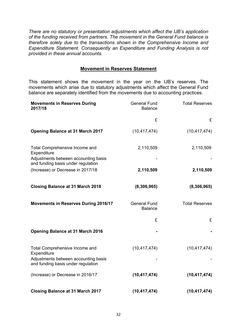*There are no statutory or presentation adjustments which affect the IJB's application of the funding received from partners. The movement in the General Fund balance is therefore solely due to the transactions shown in the Comprehensive Income and Expenditure Statement. Consequently an Expenditure and Funding Analysis is not provided in these annual accounts.*

#### <span id="page-31-0"></span>**Movement in Reserves Statement**

This statement shows the movement in the year on the IJB's reserves. The movements which arise due to statutory adjustments which affect the General Fund balance are separately identified from the movements due to accounting practices.

| <b>Movements in Reserves During</b><br>2017/18                             | <b>General Fund</b><br><b>Balance</b> | <b>Total Reserves</b> |  |
|----------------------------------------------------------------------------|---------------------------------------|-----------------------|--|
|                                                                            | £                                     | £                     |  |
| <b>Opening Balance at 31 March 2017</b>                                    | (10, 417, 474)                        | (10, 417, 474)        |  |
| Total Comprehensive Income and<br>Expenditure                              | 2,110,509                             | 2,110,509             |  |
| Adjustments between accounting basis<br>and funding basis under regulation |                                       |                       |  |
| (Increase) or Decrease in 2017/18                                          | 2,110,509                             | 2,110,509             |  |
| <b>Closing Balance at 31 March 2018</b>                                    | (8,306,965)                           | (8,306,965)           |  |
| <b>Movements in Reserves During 2016/17</b>                                | <b>General Fund</b><br><b>Balance</b> | <b>Total Reserves</b> |  |
|                                                                            | £                                     | £                     |  |
| <b>Opening Balance at 31 March 2016</b>                                    |                                       |                       |  |
| Total Comprehensive Income and<br>Expenditure                              | (10, 417, 474)                        | (10, 417, 474)        |  |
| Adjustments between accounting basis<br>and funding basis under regulation |                                       |                       |  |
| (Increase) or Decrease in 2016/17                                          | (10, 417, 474)                        | (10, 417, 474)        |  |
| <b>Closing Balance at 31 March 2017</b>                                    | (10, 417, 474)                        | (10, 417, 474)        |  |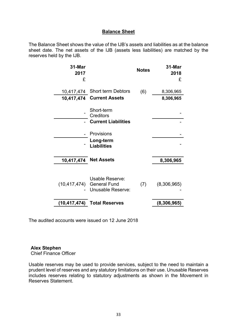### <span id="page-32-0"></span>**Balance Sheet**

The Balance Sheet shows the value of the IJB's assets and liabilities as at the balance sheet date. The net assets of the IJB (assets less liabilities) are matched by the reserves held by the IJB.

| 31-Mar<br>2017<br>£ |                                                                          | <b>Notes</b> | 31-Mar<br>2018<br>£ |
|---------------------|--------------------------------------------------------------------------|--------------|---------------------|
|                     | 10,417,474 Short term Debtors                                            | (6)          | 8,306,965           |
|                     | 10,417,474 Current Assets                                                |              | 8,306,965           |
|                     | Short-term<br>Creditors<br><b>Current Liabilities</b>                    |              |                     |
|                     | Provisions                                                               |              |                     |
|                     | Long-term<br><b>Liabilities</b>                                          |              |                     |
| 10,417,474          | <b>Net Assets</b>                                                        |              | 8,306,965           |
|                     | <b>Usable Reserve:</b><br>(10,417,474) General Fund<br>Unusable Reserve: | (7)          | (8,306,965)         |
| (10,417,474)        | <b>Total Reserves</b>                                                    |              | (8,306,965)         |
|                     |                                                                          |              |                     |

The audited accounts were issued on 12 June 2018

#### **Alex Stephen**

Chief Finance Officer

Usable reserves may be used to provide services, subject to the need to maintain a prudent level of reserves and any statutory limitations on their use. Unusable Reserves includes reserves relating to statutory adjustments as shown in the Movement in Reserves Statement.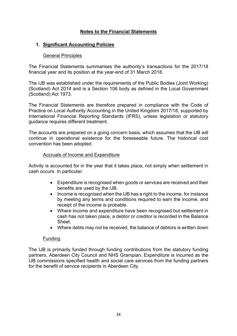# <span id="page-33-0"></span>**Notes to the Financial Statements**

# <span id="page-33-1"></span>**1. Significant Accounting Policies**

#### **General Principles**

The Financial Statements summarises the authority's transactions for the 2017/18 financial year and its position at the year-end of 31 March 2018.

The IJB was established under the requirements of the Public Bodies (Joint Working) (Scotland) Act 2014 and is a Section 106 body as defined in the Local Government (Scotland) Act 1973.

The Financial Statements are therefore prepared in compliance with the Code of Practice on Local Authority Accounting in the United Kingdom 2017/18, supported by International Financial Reporting Standards (IFRS), unless legislation or statutory guidance requires different treatment.

The accounts are prepared on a going concern basis, which assumes that the IJB will continue in operational existence for the foreseeable future. The historical cost convention has been adopted.

#### Accruals of Income and Expenditure

Activity is accounted for in the year that it takes place, not simply when settlement in cash occurs. In particular:

- Expenditure is recognised when goods or services are received and their benefits are used by the IJB.
- Income is recognised when the IJB has a right to the income, for instance by meeting any terms and conditions required to earn the income, and receipt of the income is probable.
- Where income and expenditure have been recognised but settlement in cash has not taken place, a debtor or creditor is recorded in the Balance Sheet.
- Where debts may not be received, the balance of debtors is written down

### Funding

The IJB is primarily funded through funding contributions from the statutory funding partners, Aberdeen City Council and NHS Grampian. Expenditure is incurred as the IJB commissions specified health and social care services from the funding partners for the benefit of service recipients in Aberdeen City.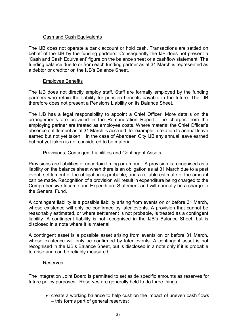# Cash and Cash Equivalents

The IJB does not operate a bank account or hold cash. Transactions are settled on behalf of the IJB by the funding partners. Consequently the IJB does not present a 'Cash and Cash Equivalent' figure on the balance sheet or a cashflow statement. The funding balance due to or from each funding partner as at 31 March is represented as a debtor or creditor on the IJB's Balance Sheet.

# Employee Benefits

The IJB does not directly employ staff. Staff are formally employed by the funding partners who retain the liability for pension benefits payable in the future. The IJB therefore does not present a Pensions Liability on its Balance Sheet.

The IJB has a legal responsibility to appoint a Chief Officer. More details on the arrangements are provided in the Remuneration Report. The charges from the employing partner are treated as employee costs. Where material the Chief Officer's absence entitlement as at 31 March is accrued, for example in relation to annual leave earned but not yet taken. In the case of Aberdeen City IJB any annual leave earned but not yet taken is not considered to be material.

# Provisions, Contingent Liabilities and Contingent Assets

Provisions are liabilities of uncertain timing or amount. A provision is recognised as a liability on the balance sheet when there is an obligation as at 31 March due to a past event; settlement of the obligation is probable; and a reliable estimate of the amount can be made. Recognition of a provision will result in expenditure being charged to the Comprehensive Income and Expenditure Statement and will normally be a charge to the General Fund.

A contingent liability is a possible liability arising from events on or before 31 March, whose existence will only be confirmed by later events. A provision that cannot be reasonably estimated, or where settlement is not probable, is treated as a contingent liability. A contingent liability is not recognised in the IJB's Balance Sheet, but is disclosed in a note where it is material.

A contingent asset is a possible asset arising from events on or before 31 March, whose existence will only be confirmed by later events. A contingent asset is not recognised in the IJB's Balance Sheet, but is disclosed in a note only if it is probable to arise and can be reliably measured.

### Reserves

The Integration Joint Board is permitted to set aside specific amounts as reserves for future policy purposes. Reserves are generally held to do three things:

 create a working balance to help cushion the impact of uneven cash flows – this forms part of general reserves;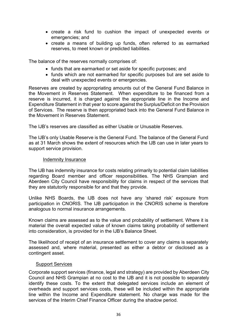- create a risk fund to cushion the impact of unexpected events or emergencies; and
- create a means of building up funds, often referred to as earmarked reserves, to meet known or predicted liabilities.

The balance of the reserves normally comprises of:

- funds that are earmarked or set aside for specific purposes; and
- funds which are not earmarked for specific purposes but are set aside to deal with unexpected events or emergencies.

Reserves are created by appropriating amounts out of the General Fund Balance in the Movement in Reserves Statement. When expenditure to be financed from a reserve is incurred, it is charged against the appropriate line in the Income and Expenditure Statement in that year to score against the Surplus/Deficit on the Provision of Services. The reserve is then appropriated back into the General Fund Balance in the Movement in Reserves Statement.

The IJB's reserves are classified as either Usable or Unusable Reserves.

The IJB's only Usable Reserve is the General Fund. The balance of the General Fund as at 31 March shows the extent of resources which the IJB can use in later years to support service provision.

#### Indemnity Insurance

The IJB has indemnity insurance for costs relating primarily to potential claim liabilities regarding Board member and officer responsibilities. The NHS Grampian and Aberdeen City Council have responsibility for claims in respect of the services that they are statutorily responsible for and that they provide.

Unlike NHS Boards, the IJB does not have any 'shared risk' exposure from participation in CNORIS. The IJB participation in the CNORIS scheme is therefore analogous to normal insurance arrangements.

Known claims are assessed as to the value and probability of settlement. Where it is material the overall expected value of known claims taking probability of settlement into consideration, is provided for in the IJB's Balance Sheet.

The likelihood of receipt of an insurance settlement to cover any claims is separately assessed and, where material, presented as either a debtor or disclosed as a contingent asset.

### Support Services

Corporate support services (finance, legal and strategy) are provided by Aberdeen City Council and NHS Grampian at no cost to the IJB and it is not possible to separately identify these costs. To the extent that delegated services include an element of overheads and support services costs, these will be included within the appropriate line within the Income and Expenditure statement. No charge was made for the services of the Interim Chief Finance Officer during the shadow period.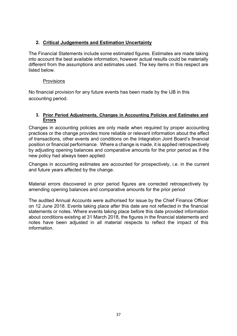# <span id="page-36-0"></span>**2. Critical Judgements and Estimation Uncertainty**

The Financial Statements include some estimated figures. Estimates are made taking into account the best available information, however actual results could be materially different from the assumptions and estimates used. The key items in this respect are listed below.

# **Provisions**

No financial provision for any future events has been made by the IJB in this accounting period.

### <span id="page-36-1"></span>**3. Prior Period Adjustments, Changes in Accounting Policies and Estimates and Errors**

Changes in accounting policies are only made when required by proper accounting practices or the change provides more reliable or relevant information about the effect of transactions, other events and conditions on the Integration Joint Board's financial position or financial performance. Where a change is made, it is applied retrospectively by adjusting opening balances and comparative amounts for the prior period as if the new policy had always been applied.

Changes in accounting estimates are accounted for prospectively, i.e. in the current and future years affected by the change.

Material errors discovered in prior period figures are corrected retrospectively by amending opening balances and comparative amounts for the prior period

The audited Annual Accounts were authorised for issue by the Chief Finance Officer on 12 June 2018. Events taking place after this date are not reflected in the financial statements or notes. Where events taking place before this date provided information about conditions existing at 31 March 2018, the figures in the financial statements and notes have been adjusted in all material respects to reflect the impact of this information.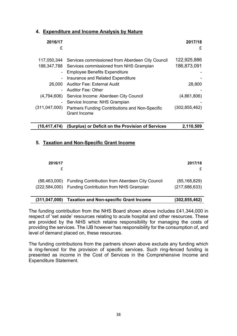# <span id="page-37-0"></span>**4. Expenditure and Income Analysis by Nature**

| 2016/17<br>£             |                                                                                                                     | 2017/18<br>£               |
|--------------------------|---------------------------------------------------------------------------------------------------------------------|----------------------------|
|                          | 117,050,344 Services commissioned from Aberdeen City Council<br>188,347,788 Services commissioned from NHS Grampian | 122,925,886<br>186,873,091 |
|                          | - Employee Benefits Expenditure                                                                                     |                            |
| $\overline{\phantom{a}}$ | Insurance and Related Expenditure                                                                                   |                            |
| 26,000                   | <b>Auditor Fee: External Audit</b>                                                                                  | 28,800                     |
|                          | - Auditor Fee: Other                                                                                                |                            |
| (4,794,606)              | Service Income: Aberdeen City Council                                                                               | (4,861,806)                |
| (311, 047, 000)          | - Service Income: NHS Grampian<br>Partners Funding Contributions and Non-Specific<br><b>Grant Income</b>            | (302, 855, 462)            |
| (10, 417, 474)           | (Surplus) or Deficit on the Provision of Services                                                                   | 2,110,509                  |

# <span id="page-37-1"></span>**5. Taxation and Non-Specific Grant Income**

The funding contribution from the NHS Board shown above includes £41,344,000 in respect of 'set aside' resources relating to acute hospital and other resources. These are provided by the NHS which retains responsibility for managing the costs of providing the services. The IJB however has responsibility for the consumption of, and level of demand placed on, these resources.

The funding contributions from the partners shown above exclude any funding which is ring-fenced for the provision of specific services. Such ring-fenced funding is presented as income in the Cost of Services in the Comprehensive Income and Expenditure Statement.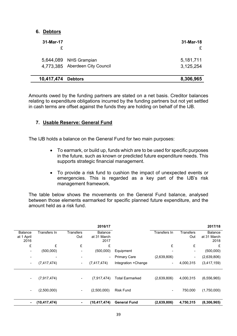#### <span id="page-38-0"></span>**6. Debtors**

| 31-Mar-17          |                                                           | 31-Mar-18<br>£         |
|--------------------|-----------------------------------------------------------|------------------------|
|                    | 5,644,089 NHS Grampian<br>4,773,385 Aberdeen City Council | 5,181,711<br>3,125,254 |
| 10,417,474 Debtors |                                                           | 8,306,965              |

Amounts owed by the funding partners are stated on a net basis. Creditor balances relating to expenditure obligations incurred by the funding partners but not yet settled in cash terms are offset against the funds they are holding on behalf of the IJB.

# <span id="page-38-1"></span>**7. Usable Reserve: General Fund**

The IJB holds a balance on the General Fund for two main purposes:

- To earmark, or build up, funds which are to be used for specific purposes in the future, such as known or predicted future expenditure needs. This supports strategic financial management.
- To provide a risk fund to cushion the impact of unexpected events or emergencies. This is regarded as a key part of the IJB's risk management framework.

The table below shows the movements on the General Fund balance, analysed between those elements earmarked for specific planned future expenditure, and the amount held as a risk fund.

|                                      |                          |                          | 2016/17                               |                     |                          |                          | 2017/18                               |
|--------------------------------------|--------------------------|--------------------------|---------------------------------------|---------------------|--------------------------|--------------------------|---------------------------------------|
| <b>Balance</b><br>at 1 April<br>2016 | Transfers In             | <b>Transfers</b><br>Out  | <b>Balance</b><br>at 31 March<br>2017 |                     | Transfers In             | Transfers<br>Out         | <b>Balance</b><br>at 31 March<br>2018 |
| £                                    | £                        | £                        | £                                     |                     | £                        | £                        | £                                     |
| ۰                                    | (500,000)                | -                        | (500,000)                             | Equipment           |                          |                          | (500,000)                             |
| $\overline{\phantom{a}}$             | $\overline{\phantom{0}}$ | $\overline{\phantom{a}}$ | $\overline{\phantom{a}}$              | <b>Primary Care</b> | (2,639,806)              | $\overline{\phantom{a}}$ | (2,639,806)                           |
| -                                    | (7, 417, 474)            | $\overline{\phantom{a}}$ | (7,417,474)                           | Integration +Change | $\overline{\phantom{a}}$ | 4,000,315                | (3,417,159)                           |
| $\overline{\phantom{a}}$             | (7, 917, 474)            | $\overline{\phantom{a}}$ | (7, 917, 474)                         | Total Earmarked     | (2,639,806)              | 4,000,315                | (6, 556, 965)                         |
| ۰                                    | (2,500,000)              | $\overline{\phantom{a}}$ | (2,500,000)                           | <b>Risk Fund</b>    |                          | 750,000                  | (1,750,000)                           |
| ۰.                                   | (10, 417, 474)           | $\blacksquare$           | (10, 417, 474)                        | <b>General Fund</b> | (2,639,806)              | 4,750,315                | (8,306,965)                           |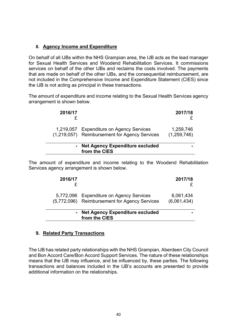# <span id="page-39-0"></span>**8. Agency Income and Expenditure**

On behalf of all IJBs within the NHS Grampian area, the IJB acts as the lead manager for Sexual Health Services and Woodend Rehabilitation Services. It commissions services on behalf of the other IJBs and reclaims the costs involved. The payments that are made on behalf of the other IJBs, and the consequential reimbursement, are not included in the Comprehensive Income and Expenditure Statement (CIES) since the IJB is not acting as principal in these transactions.

The amount of expenditure and income relating to the Sexual Health Services agency arrangement is shown below.

| 2016/17 |                                                                                           | 2017/18                  |
|---------|-------------------------------------------------------------------------------------------|--------------------------|
|         | 1,219,057 Expenditure on Agency Services<br>(1,219,057) Reimbursement for Agency Services | 1,259,746<br>(1,259,746) |
|         | - Net Agency Expenditure excluded<br>from the CIES                                        |                          |

The amount of expenditure and income relating to the Woodend Rehabilitation Services agency arrangement is shown below.

| 2016/17 |                                                                                           | 2017/18                  |
|---------|-------------------------------------------------------------------------------------------|--------------------------|
|         | 5,772,096 Expenditure on Agency Services<br>(5,772,096) Reimbursement for Agency Services | 6,061,434<br>(6,061,434) |
|         | - Net Agency Expenditure excluded<br>from the CIES                                        |                          |

### <span id="page-39-1"></span>**9. Related Party Transactions**

The IJB has related party relationships with the NHS Grampian, Aberdeen City Council and Bon Accord Care/Bon Accord Support Services. The nature of these relationships means that the IJB may influence, and be influenced by, these parties. The following transactions and balances included in the IJB's accounts are presented to provide additional information on the relationships.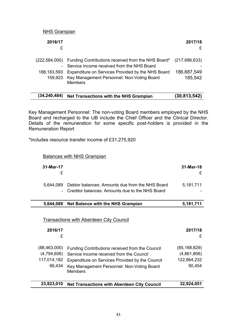NHS Grampian

| 2016/17<br>£           |                                                                                                                                                                                                                                       | 2017/18                                   |
|------------------------|---------------------------------------------------------------------------------------------------------------------------------------------------------------------------------------------------------------------------------------|-------------------------------------------|
| 188.183.593<br>159.923 | (222,584,000) Funding Contributions received from the NHS Board*<br>- Service Income received from the NHS Board<br>Expenditure on Services Provided by the NHS Board<br>Key Management Personnel: Non-Voting Board<br><b>Members</b> | (217, 686, 633)<br>186,687,549<br>185,542 |

|  | (34,240,484) Net Transactions with the NHS Grampian | (30, 813, 542) |
|--|-----------------------------------------------------|----------------|
|--|-----------------------------------------------------|----------------|

Key Management Personnel: The non-voting Board members employed by the NHS Board and recharged to the IJB include the Chief Officer and the Clinical Director. Details of the remuneration for some specific post-holders is provided in the Remuneration Report

\*Includes resource transfer income of £31,275,920

| Balances with NHS Grampian |  |
|----------------------------|--|
|----------------------------|--|

| 31-Mar-17      |                                                    | 31-Mar-18      |
|----------------|----------------------------------------------------|----------------|
| £              |                                                    | £              |
|                |                                                    |                |
| 5,644,089      | Debtor balances: Amounts due from the NHS Board    | 5,181,711      |
| Ξ.             | Creditor balances: Amounts due to the NHS Board    |                |
|                |                                                    |                |
| 5,644,089      | <b>Net Balance with the NHS Grampian</b>           | 5,181,711      |
|                |                                                    |                |
|                | <b>Transactions with Aberdeen City Council</b>     |                |
| 2016/17        |                                                    | 2017/18        |
| £              |                                                    | £              |
|                |                                                    |                |
| (88, 463, 000) | Funding Contributions received from the Council    | (85, 168, 829) |
| (4,794,606)    | Service Income received from the Council           | (4,861,806)    |
| 117,014,182    | Expenditure on Services Provided by the Council    | 122,864,232    |
| 66,434         | Key Management Personnel: Non-Voting Board         | 90,454         |
|                | <b>Members</b>                                     |                |
|                |                                                    |                |
| 23,823,010     | <b>Net Transactions with Aberdeen City Council</b> | 32,924,051     |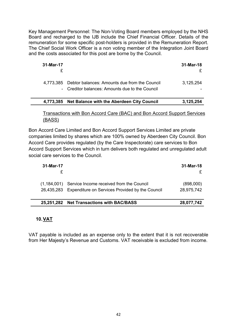Key Management Personnel: The Non-Voting Board members employed by the NHS Board and recharged to the IJB include the Chief Financial Officer. Details of the remuneration for some specific post-holders is provided in the Remuneration Report. The Chief Social Work Officer is a non voting member of the Integration Joint Board and the costs associated for this post are borne by the Council.

| 31-Mar-17 |                                                                                                            | 31-Mar-18 |
|-----------|------------------------------------------------------------------------------------------------------------|-----------|
|           | 4,773,385 Debtor balances: Amounts due from the Council<br>- Creditor balances: Amounts due to the Council | 3,125,254 |
| 4.773.385 | Net Balance with the Aberdeen City Council                                                                 | 3,125,254 |

Transactions with Bon Accord Care (BAC) and Bon Accord Support Services (BASS)

Bon Accord Care Limited and Bon Accord Support Services Limited are private companies limited by shares which are 100% owned by Aberdeen City Council. Bon Accord Care provides regulated (by the Care Inspectorate) care services to Bon Accord Support Services which in turn delivers both regulated and unregulated adult social care services to the Council.

| 31-Mar-17                 |                                                                                             | 31-Mar-18               |
|---------------------------|---------------------------------------------------------------------------------------------|-------------------------|
| (1.184.001)<br>26.435.283 | Service Income received from the Council<br>Expenditure on Services Provided by the Council | (898,000)<br>28,975,742 |
|                           | 25,251,282 Net Transactions with BAC/BASS                                                   | 28,077,742              |

# <span id="page-41-0"></span>**10.VAT**

VAT payable is included as an expense only to the extent that it is not recoverable from Her Majesty's Revenue and Customs. VAT receivable is excluded from income.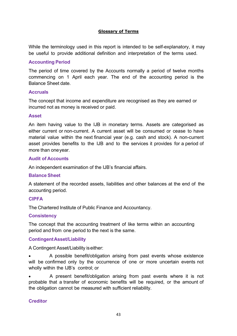# <span id="page-42-0"></span>**Glossary of Terms**

While the terminology used in this report is intended to be self-explanatory, it may be useful to provide additional definition and interpretation of the terms used.

## **Accounting Period**

The period of time covered by the Accounts normally a period of twelve months commencing on 1 April each year. The end of the accounting period is the Balance Sheet date.

### **Accruals**

The concept that income and expenditure are recognised as they are earned or incurred not as money is received or paid.

### **Asset**

An item having value to the IJB in monetary terms. Assets are categorised as either current or non-current. A current asset will be consumed or cease to have material value within the next financial year (e.g. cash and stock). A non-current asset provides benefits to the IJB and to the services it provides for a period of more than oneyear.

### **Audit of Accounts**

An independent examination of the IJB's financial affairs.

### **Balance Sheet**

A statement of the recorded assets, liabilities and other balances at the end of the accounting period.

# **CIPFA**

The Chartered Institute of Public Finance and Accountancy.

### **Consistency**

The concept that the accounting treatment of like terms within an accounting period and from one period to the next is the same.

### **ContingentAsset/Liability**

A Contingent Asset/Liability iseither:

 A possible benefit/obligation arising from past events whose existence will be confirmed only by the occurrence of one or more uncertain events not wholly within the IJB's control; or

 A present benefit/obligation arising from past events where it is not probable that a transfer of economic benefits will be required, or the amount of the obligation cannot be measured with sufficient reliability.

### **Creditor**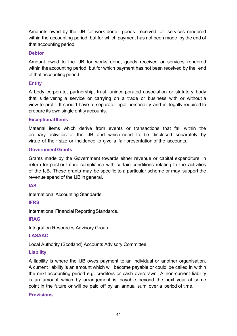Amounts owed by the IJB for work done, goods received or services rendered within the accounting period, but for which payment has not been made by the end of that accounting period.

## **Debtor**

Amount owed to the IJB for works done, goods received or services rendered within the accounting period, but for which payment has not been received by the end of that accounting period.

# **Entity**

A body corporate, partnership, trust, unincorporated association or statutory body that is delivering a service or carrying on a trade or business with or without a view to profit. It should have a separate legal personality and is legally required to prepare its own single entityaccounts.

# **Exceptional Items**

Material items which derive from events or transactions that fall within the ordinary activities of the IJB and which need to be disclosed separately by virtue of their size or incidence to give a fair presentation of the accounts.

# **GovernmentGrants**

Grants made by the Government towards either revenue or capital expenditure in return for past or future compliance with certain conditions relating to the activities of the IJB. These grants may be specific to a particular scheme or may support the revenue spend of the IJB in general.

# **IAS**

International Accounting Standards.

# **IFRS**

International Financial Reporting Standards.

# **IRAG**

Integration Resources Advisory Group

### **LASAAC**

Local Authority (Scotland) Accounts Advisory Committee

### **Liability**

A liability is where the IJB owes payment to an individual or another organisation. A current liability is an amount which will become payable or could be called in within the next accounting period e.g. creditors or cash overdrawn. A non-current liability is an amount which by arrangement is payable beyond the next year at some point in the future or will be paid off by an annual sum over a period of time.

### **Provisions**